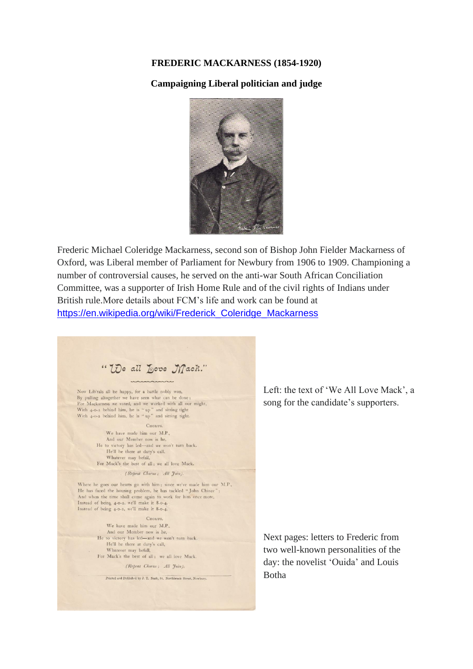## **FREDERIC MACKARNESS (1854-1920)**

## **Campaigning Liberal politician and judge**



Frederic Michael Coleridge Mackarness, second son of Bishop John Fielder Mackarness of Oxford, was Liberal member of Parliament for Newbury from 1906 to 1909. Championing a number of controversial causes, he served on the anti-war South African Conciliation Committee, was a supporter of Irish Home Rule and of the civil rights of Indians under British rule.More details about FCM's life and work can be found at [https://en.wikipedia.org/wiki/Frederick\\_Coleridge\\_Mackarness](https://en.wikipedia.org/wiki/Frederick_Coleridge_Mackarness)

" We all Love Mach."

Now Lib'rals all be happy, for a battle nobly won, By pulling altogether we have seen what can be done;<br>For Mackarness we voted, and we worked with all our might, With  $4$ -0-2 behind him, he is "up" and sitting tight<br>With  $4$ -0-2 behind him, he is "up" and sitting tight.

> CHORUS We have made him our M.P., And our Member now is he, He to victory has led-and we won't turn back. He'll be there at duty's call, Whatever may befall, For Mack's the best of all; we all love Mack.

> > (Repeat Chorus; All Join).

Where he goes our hearts go with him; since we've made him our M.P., He has faced the housing problem, he has tackled "John Chinee And when the time shall come again to work for him once more, Instead of being 4-0-2, we'll make it 8-0-4. Instead of being 4-0-2, we'll make it 8-0-4.

> **CHORUS** We have made him our M.P.,

3 And our Member now is he,<br>He to victory has led-and we won't turn back. He'll be there at duty's call, Whatever may befall, For Mack's the best of all: we all love Mack.

(Repeat Chorus; All Join).

Printed and Published by J. T. Nash, 94, Northbrook Street, Newbury,

Left: the text of 'We All Love Mack', a song for the candidate's supporters.

Next pages: letters to Frederic from two well-known personalities of the day: the novelist 'Ouida' and Louis Botha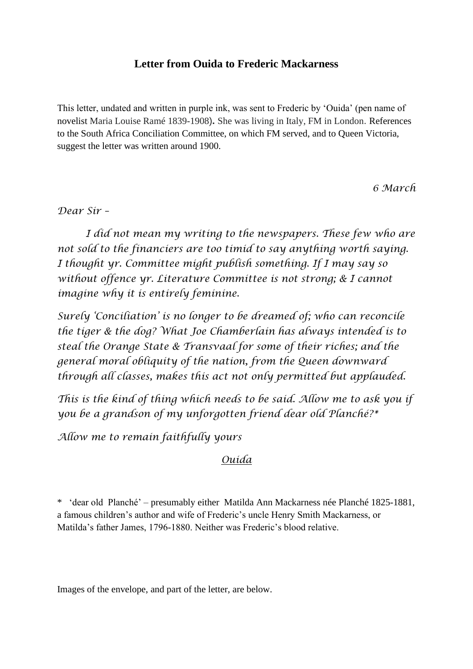## **Letter from Ouida to Frederic Mackarness**

This letter, undated and written in purple ink, was sent to Frederic by 'Ouida' (pen name of novelist Maria Louise Ramé 1839-1908)**.** She was living in Italy, FM in London. References to the South Africa Conciliation Committee, on which FM served, and to Queen Victoria, suggest the letter was written around 1900.

*6 March*

*Dear Sir –*

*I did not mean my writing to the newspapers. These few who are not sold to the financiers are too timid to say anything worth saying. I thought yr. Committee might publish something. If I may say so without offence yr. Literature Committee is not strong; & I cannot imagine why it is entirely feminine.*

*Surely 'Conciliation' is no longer to be dreamed of; who can reconcile the tiger & the dog? What Joe Chamberlain has always intended is to steal the Orange State & Transvaal for some of their riches; and the general moral obliquity of the nation, from the Queen downward through all classes, makes this act not only permitted but applauded.*

*This is the kind of thing which needs to be said. Allow me to ask you if you be a grandson of my unforgotten friend dear old Planché?\**

*Allow me to remain faithfully yours*

## *Ouida*

\* 'dear old Planché' – presumably either Matilda Ann Mackarness née Planché 1825-1881, a famous children's author and wife of Frederic's uncle Henry Smith Mackarness, or Matilda's father James, 1796-1880. Neither was Frederic's blood relative.

Images of the envelope, and part of the letter, are below.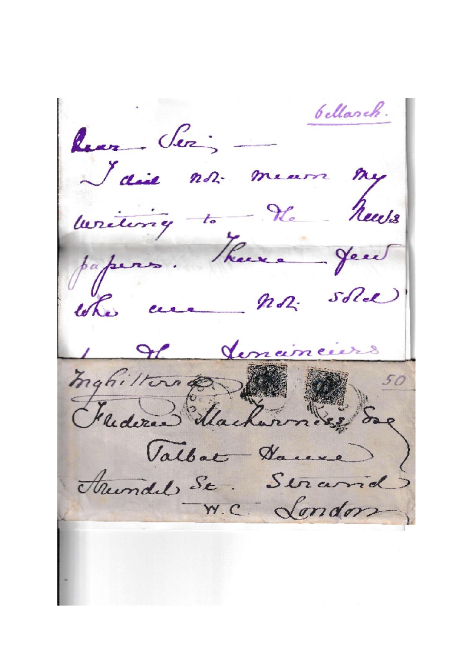bellarch. Rear Ser -I die not mears  $n_{y}$ writing to the News papers. There a Jeu the cere MR: sold Jenainciers Inghilton 200 Valbat Darene Ariendel St. Seramd